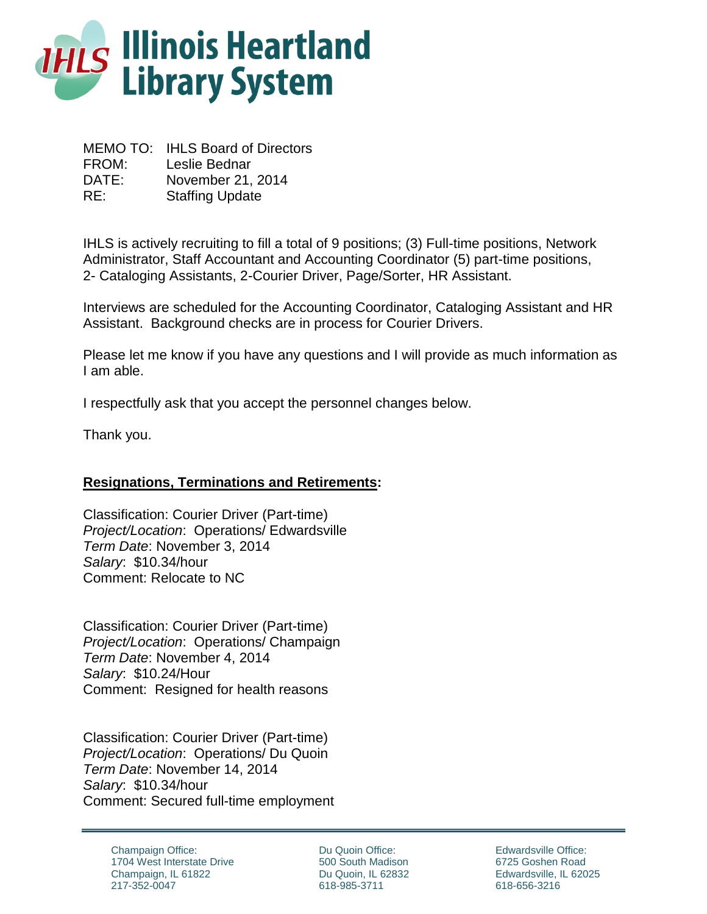

MEMO TO: IHLS Board of Directors FROM: Leslie Bednar DATE: November 21, 2014 RE: Staffing Update

IHLS is actively recruiting to fill a total of 9 positions; (3) Full-time positions, Network Administrator, Staff Accountant and Accounting Coordinator (5) part-time positions, 2- Cataloging Assistants, 2-Courier Driver, Page/Sorter, HR Assistant.

Interviews are scheduled for the Accounting Coordinator, Cataloging Assistant and HR Assistant. Background checks are in process for Courier Drivers.

Please let me know if you have any questions and I will provide as much information as I am able.

I respectfully ask that you accept the personnel changes below.

Thank you.

### **Resignations, Terminations and Retirements:**

Classification: Courier Driver (Part-time) *Project/Location*: Operations/ Edwardsville *Term Date*: November 3, 2014 *Salary*: \$10.34/hour Comment: Relocate to NC

Classification: Courier Driver (Part-time) *Project/Location*: Operations/ Champaign *Term Date*: November 4, 2014 *Salary*: \$10.24/Hour Comment: Resigned for health reasons

Classification: Courier Driver (Part-time) *Project/Location*: Operations/ Du Quoin *Term Date*: November 14, 2014 *Salary*: \$10.34/hour Comment: Secured full-time employment

> Champaign Office: 1704 West Interstate Drive Champaign, IL 61822 217-352-0047

Du Quoin Office: 500 South Madison Du Quoin, IL 62832 618-985-3711

Edwardsville Office: 6725 Goshen Road Edwardsville, IL 62025 618-656-3216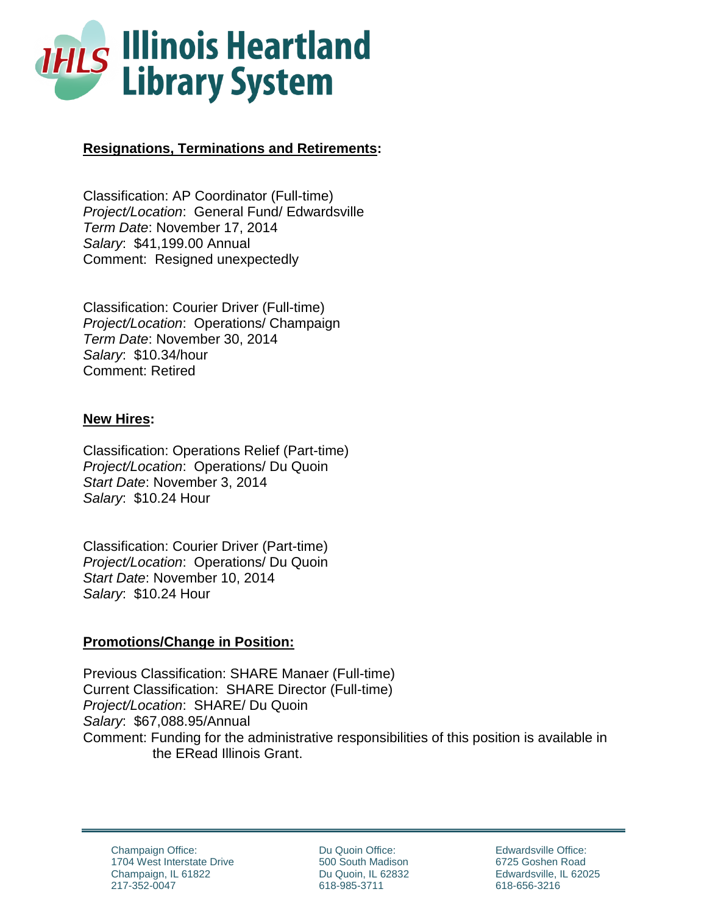

# **Resignations, Terminations and Retirements:**

Classification: AP Coordinator (Full-time) *Project/Location*: General Fund/ Edwardsville *Term Date*: November 17, 2014 *Salary*: \$41,199.00 Annual Comment: Resigned unexpectedly

Classification: Courier Driver (Full-time) *Project/Location*: Operations/ Champaign *Term Date*: November 30, 2014 *Salary*: \$10.34/hour Comment: Retired

### **New Hires:**

Classification: Operations Relief (Part-time) *Project/Location*: Operations/ Du Quoin *Start Date*: November 3, 2014 *Salary*: \$10.24 Hour

Classification: Courier Driver (Part-time) *Project/Location*: Operations/ Du Quoin *Start Date*: November 10, 2014 *Salary*: \$10.24 Hour

### **Promotions/Change in Position:**

Previous Classification: SHARE Manaer (Full-time) Current Classification: SHARE Director (Full-time) *Project/Location*: SHARE/ Du Quoin *Salary*: \$67,088.95/Annual Comment: Funding for the administrative responsibilities of this position is available in the ERead Illinois Grant.

Champaign Office: 1704 West Interstate Drive Champaign, IL 61822 217-352-0047

Du Quoin Office: 500 South Madison Du Quoin, IL 62832 618-985-3711

Edwardsville Office: 6725 Goshen Road Edwardsville, IL 62025 618-656-3216